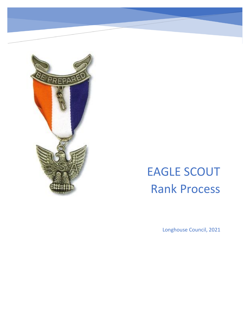

**EAGLE SCOUT PROCESS CHECKLIST (30 STEPS)**

# EAGLE SCOUT Rank Process

Longhouse Council, 2021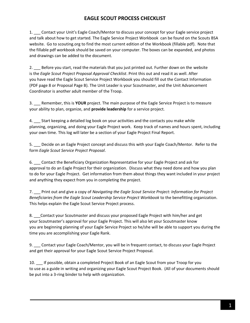1. Contact your Unit's Eagle Coach/Mentor to discuss your concept for your Eagle service project and talk about how to get started. The Eagle Service Project Workbook can be found on the Scouts BSA website. Go to scouting.org to find the most current edition of the Workbook (fillable pdf). Note that the fillable pdf workbook should be saved on your computer. The boxes can be expanded, and photos and drawings can be added to the document.

2. Before you start, read the materials that you just printed out. Further down on the website is the *Eagle Scout Project Proposal Approval Checklist*. Print this out and read it as well. After you have read the Eagle Scout Service Project Workbook you should fill out the Contact Information (PDF page 8 or Proposal Page B). The Unit Leader is your Scoutmaster, and the Unit Advancement Coordinator is another adult member of the Troop.

3. \_\_\_ Remember, this is **YOUR** project. The main purpose of the Eagle Service Project is to measure your ability to plan, organize, and **provide leadership** for a service project.

4. \_\_\_ Start keeping a detailed log book on your activities and the contacts you make while planning, organizing, and doing your Eagle Project work. Keep track of names and hours spent, including your own time. This log will later be a section of your Eagle Project Final Report.

5. \_\_\_ Decide on an Eagle Project concept and discuss this with your Eagle Coach/Mentor. Refer to the form *Eagle Scout Service Project Proposal*.

6. \_\_\_ Contact the Beneficiary Organization Representative for your Eagle Project and ask for approval to do an Eagle Project for their organization. Discuss what they need done and how you plan to do for your Eagle Project. Get information from them about things they want included in your project and anything they expect from you in completing the project.

7. \_\_\_ Print out and give a copy of *Navigating the Eagle Scout Service Project: Information for Project Beneficiaries from the Eagle Scout Leadership Service Project Workbook* to the benefitting organization. This helps explain the Eagle Scout Service Project process.

8. \_\_\_Contact your Scoutmaster and discuss your proposed Eagle Project with him/her and get your Scoutmaster's approval for your Eagle Project. This will also let your Scoutmaster know you are beginning planning of your Eagle Service Project so he/she will be able to support you during the time you are accomplishing your Eagle Rank.

9. \_\_\_ Contact your Eagle Coach/Mentor, you will be in frequent contact, to discuss your Eagle Project and get their approval for your Eagle Scout Service Project Proposal.

10. If possible, obtain a completed Project Book of an Eagle Scout from your Troop for you to use as a guide in writing and organizing your Eagle Scout Project Book. (All of your documents should be put into a 3-ring binder to help with organization.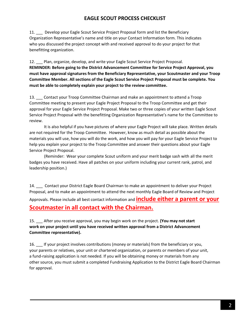11. Develop your Eagle Scout Service Project Proposal form and list the Beneficiary Organization Representative's name and title on your Contact Information form. This indicates who you discussed the project concept with and received approval to do your project for that benefitting organization.

12. Plan, organize, develop, and write your Eagle Scout Service Project Proposal. **REMINDER: Before going to the District Advancement Committee for Service Project Approval, you must have approval signatures from the Beneficiary Representative, your Scoutmaster and your Troop Committee Member. All sections of the Eagle Scout Service Project Proposal must be complete. You must be able to completely explain your project to the review committee.**

13. Contact your Troop Committee Chairman and make an appointment to attend a Troop Committee meeting to present your Eagle Project Proposal to the Troop Committee and get their approval for your Eagle Service Project Proposal. Make two or three copies of your written Eagle Scout Service Project Proposal with the benefitting Organization Representative's name for the Committee to review.

It is also helpful if you have pictures of where your Eagle Project will take place. Written details are not required for the Troop Committee. However, know as much detail as possible about the materials you will use, how you will do the work, and how you will pay for your Eagle Service Project to help you explain your project to the Troop Committee and answer their questions about your Eagle Service Project Proposal.

(Reminder: Wear your complete Scout uniform and your merit badge sash with all the merit badges you have received. Have all patches on your uniform including your current rank, patrol, and leadership position.)

14. Contact your District Eagle Board Chairman to make an appointment to deliver your Project Proposal, and to make an appointment to attend the next monthly Eagle Board of Review and Project Approvals. Please include all best contact information and **include either a parent or your Scoutmaster in all contact with the Chairman.**

15. \_\_\_ After you receive approval, you may begin work on the project. **(You may not start work on your project until you have received written approval from a District Advancement Committee representative).**

16. \_\_\_ If your project involves contributions (money or materials) from the beneficiary or you, your parents or relatives, your unit or chartered organization, or parents or members of your unit, a fund-raising application is not needed. If you will be obtaining money or materials from any other source, you must submit a completed Fundraising Application to the District Eagle Board Chairman for approval.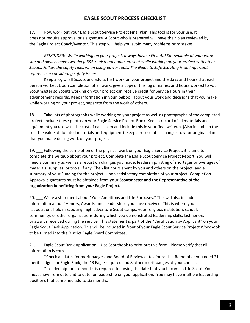17. \_\_\_ Now work out your Eagle Scout Service Project Final Plan. This tool is for your use. It does not require approval or a signature. A Scout who is prepared will have their plan reviewed by the Eagle Project Coach/Mentor. This step will help you avoid many problems or mistakes*.* 

*REMINDER: While working on your project, always have a First Aid Kit available at your work site and always have two-deep BSA-registered adults present while working on your project with other Scouts. Follow the safety rules when using power tools. The Guide to Safe Scouting is an important reference in considering safety issues.*

Keep a log of all Scouts and adults that work on your project and the days and hours that each person worked. Upon completion of all work, give a copy of this log of names and hours worked to your Scoutmaster so Scouts working on your project can receive credit for Service Hours in their advancement records. Keep information in your logbook about your work and decisions that you make while working on your project, separate from the work of others.

18. \_\_\_ Take lots of photographs while working on your project as well as photographs of the completed project. Include these photos in your Eagle Service Project Book. Keep a record of all materials and equipment you use with the cost of each item and include this in your final writeup. (Also include in the cost the value of donated materials and equipment). Keep a record of all changes to your original plan that you made during work on your project.

19. Following the completion of the physical work on your Eagle Service Project, it is time to complete the writeup about your project. Complete the Eagle Scout Service Project Report. You will need a Summary as well as a report on changes you made, leadership, listing of shortages or overages of materials, supplies, or tools, if any. Then list hours spent by you and others on the project, and a summary of your Funding for the project. Upon satisfactory completion of your project, Completion Approval signatures must be obtained from **your Scoutmaster and the Representative of the organization benefitting from your Eagle Project.**

20. Write a statement about "Your Ambitions and Life Purposes." This will also include information about "Honors, Awards, and Leadership" you have received. This is where you list positions held in Scouting, high adventure Scout camps, your religious institution, school, community, or other organizations during which you demonstrated leadership skills. List honors or awards received during the service. This statement is part of the "Certification by Applicant" on your Eagle Scout Rank Application. This will be included in front of your Eagle Scout Service Project Workbook to be turned into the District Eagle Board Committee.

21. Eagle Scout Rank Application – Use Scoutbook to print out this form. Please verify that all information is correct.

\*Check all dates for merit badges and Board of Review dates for ranks. Remember you need 21 merit badges for Eagle Rank, the 13 Eagle required and 8 other merit badges of your choice.

\* Leadership for six months is required following the date that you became a Life Scout. You must show from date and to date for leadership on your application. You may have multiple leadership positions that combined add to six months.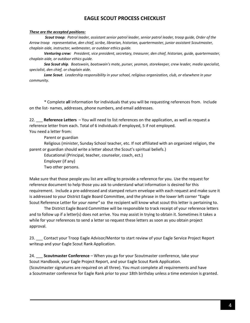#### *These are the accepted positions:*

*Scout troop: Patrol leader, assistant senior patrol leader, senior patrol leader, troop guide, Order of the Arrow troop representative, den chief, scribe, librarian, historian, quartermaster, junior assistant Scoutmaster, chaplain aide, instructor, webmaster, or outdoor ethics guide.* 

*Venturing crew: President, vice president, secretary, treasurer, den chief, historian, guide, quartermaster, chaplain aide, or outdoor ethics guide.* 

*Sea Scout ship. Boatswain, boatswain's mate, purser, yeoman, storekeeper, crew leader, media specialist, specialist, den chief, or chaplain aide.* 

*Lone Scout. Leadership responsibility in your school, religious organization, club, or elsewhere in your community.*

\* Complete **all** information for individuals that you will be requesting references from. Include on the list- names, addresses, phone numbers, and email addresses.

22. \_\_\_ **Reference Letters** – You will need to list references on the application, as well as request a reference letter from each. Total of 6 individuals if employed, 5 if not employed.

You need a letter from:

Parent or guardian

Religious (minister, Sunday School teacher, etc. If not affiliated with an organized religion, the parent or guardian should write a letter about the Scout's spiritual beliefs.)

Educational (Principal, teacher, counselor, coach, ect.)

Employer (if any)

Two other persons.

Make sure that those people you list are willing to provide a reference for you. Use the request for reference document to help those you ask to understand what information is desired for this requirement. Include a pre-addressed and stamped return envelope with each request and make sure it is addressed to your District Eagle Board Committee, and the phrase in the lower left corner "Eagle Scout Reference Letter for *your name"* so the recipient will know what scout this letter is pertaining to.

The District Eagle Board Committee will be responsible to track receipt of your reference letters and to follow up if a letter(s) does not arrive. You may assist in trying to obtain it. Sometimes it takes a while for your references to send a letter so request these letters as soon as you obtain project approval.

23. Contact your Troop Eagle Advisor/Mentor to start review of your Eagle Service Project Report writeup and your Eagle Scout Rank Application.

24. \_\_\_ **Scoutmaster Conference** – When you go for your Scoutmaster conference, take your Scout Handbook, your Eagle Project Report, and your Eagle Scout Rank Application. (Scoutmaster signatures are required on all three). You must complete all requirements and have a Scoutmaster conference for Eagle Rank prior to your 18th birthday unless a time extension is granted.